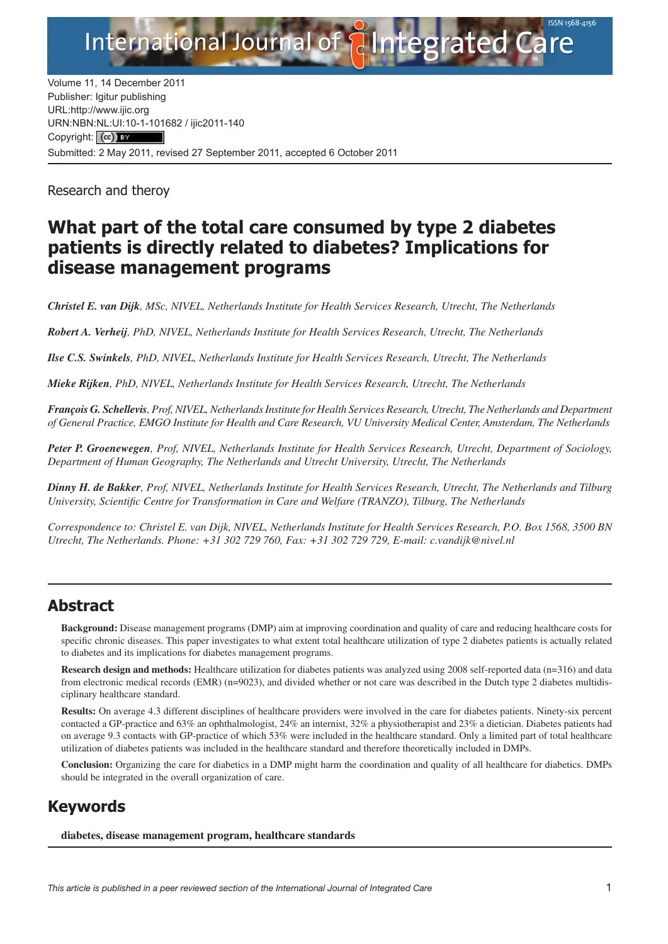

Volume 11, 14 December 2011 Publisher: Igitur publishing URL[:http://www.ijic.org](http://www.ijic.org) URN:NBN[:NL:UI:10-1-1016](http://creativecommons.org/licenses/by/3.0/)82 / ijic2011-140 Copyright: (cc) BY Submitted: 2 May 2011, revised 27 September 2011, accepted 6 October 2011

Research and theroy

## **What part of the total care consumed by type 2 diabetes patients is directly related to diabetes? Implications for disease management programs**

*Christel E. van Dijk, MSc, NIVEL, Netherlands Institute for Health Services Research, Utrecht, The Netherlands*

*Robert A. Verheij, PhD, NIVEL, Netherlands Institute for Health Services Research, Utrecht, The Netherlands*

*Ilse C.S. Swinkels, PhD, NIVEL, Netherlands Institute for Health Services Research, Utrecht, The Netherlands*

*Mieke Rijken, PhD, NIVEL, Netherlands Institute for Health Services Research, Utrecht, The Netherlands*

*François G. Schellevis, Prof, NIVEL, Netherlands Institute for Health Services Research, Utrecht, The Netherlands and Department of General Practice, EMGO Institute for Health and Care Research, VU University Medical Center, Amsterdam, The Netherlands*

*Peter P. Groenewegen, Prof, NIVEL, Netherlands Institute for Health Services Research, Utrecht, Department of Sociology, Department of Human Geography, The Netherlands and Utrecht University, Utrecht, The Netherlands*

*Dinny H. de Bakker, Prof, NIVEL, Netherlands Institute for Health Services Research, Utrecht, The Netherlands and Tilburg University, Scientific Centre for Transformation in Care and Welfare (TRANZO), Tilburg, The Netherlands*

*Correspondence to: Christel E. van Dijk, NIVEL, Netherlands Institute for Health Services Research, P.O. Box 1568, 3500 BN Utrecht, The Netherlands. Phone: +31 302 729 760, Fax: +31 302 729 729, E-mail: [c.vandijk@nivel.nl](mailto:c.vandijk@nivel.nl)*

## **Abstract**

**Background:** Disease management programs (DMP) aim at improving coordination and quality of care and reducing healthcare costs for specific chronic diseases. This paper investigates to what extent total healthcare utilization of type 2 diabetes patients is actually related to diabetes and its implications for diabetes management programs.

**Research design and methods:** Healthcare utilization for diabetes patients was analyzed using 2008 self-reported data (n=316) and data from electronic medical records (EMR) (n=9023), and divided whether or not care was described in the Dutch type 2 diabetes multidisciplinary healthcare standard.

**Results:** On average 4.3 different disciplines of healthcare providers were involved in the care for diabetes patients. Ninety-six percent contacted a GP-practice and 63% an ophthalmologist, 24% an internist, 32% a physiotherapist and 23% a dietician. Diabetes patients had on average 9.3 contacts with GP-practice of which 53% were included in the healthcare standard. Only a limited part of total healthcare utilization of diabetes patients was included in the healthcare standard and therefore theoretically included in DMPs.

**Conclusion:** Organizing the care for diabetics in a DMP might harm the coordination and quality of all healthcare for diabetics. DMPs should be integrated in the overall organization of care.

## **Keywords**

**diabetes, disease management program, healthcare standards**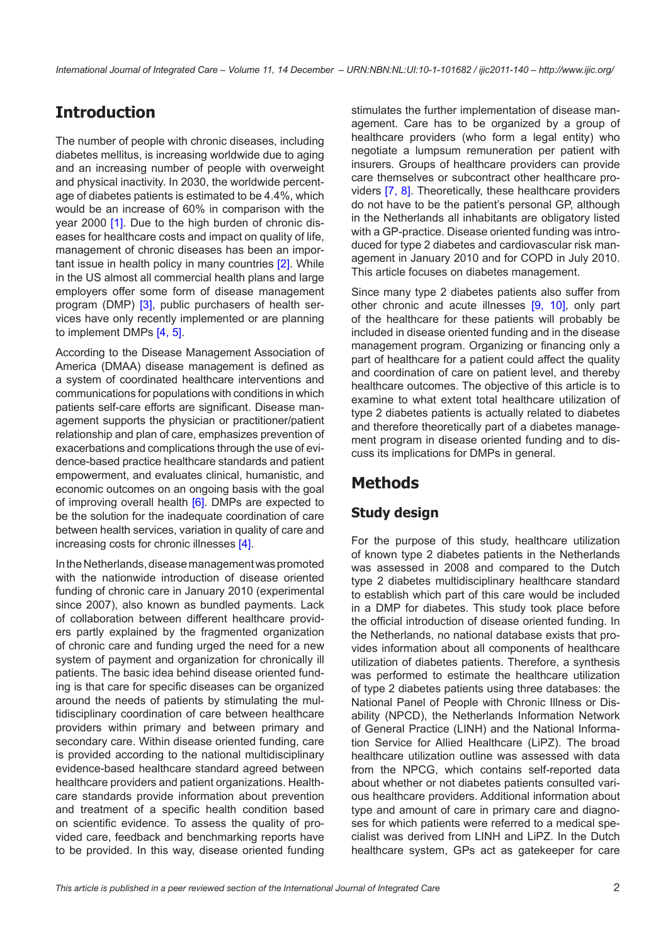## **Introduction**

The number of people with chronic diseases, including diabetes mellitus, is increasing worldwide due to aging and an increasing number of people with overweight and physical inactivity. In 2030, the worldwide percentage of diabetes patients is estimated to be 4.4%, which would be an increase of 60% in comparison with the year 2000 [\[1\]](#page-8-0). Due to the high burden of chronic diseases for healthcare costs and impact on quality of life, management of chronic diseases has been an impor-tant issue in health policy in many countries [[2\]](#page-8-0). While in the US almost all commercial health plans and large employers offer some form of disease management program (DMP) [\[3\]](#page-8-0), public purchasers of health services have only recently implemented or are planning to implement DMPs [\[4,](#page-8-0) [5](#page-8-0)].

According to the Disease Management Association of America (DMAA) disease management is defined as a system of coordinated healthcare interventions and communications for populations with conditions in which patients self-care efforts are significant. Disease management supports the physician or practitioner/patient relationship and plan of care, emphasizes prevention of exacerbations and complications through the use of evidence-based practice healthcare standards and patient empowerment, and evaluates clinical, humanistic, and economic outcomes on an ongoing basis with the goal of improving overall health  $[6]$  $[6]$  $[6]$ . DMPs are expected to be the solution for the inadequate coordination of care between health services, variation in quality of care and increasing costs for chronic illnesses [\[4\]](#page-8-0).

In the Netherlands, disease management was promoted with the nationwide introduction of disease oriented funding of chronic care in January 2010 (experimental since 2007), also known as bundled payments. Lack of collaboration between different healthcare providers partly explained by the fragmented organization of chronic care and funding urged the need for a new system of payment and organization for chronically ill patients. The basic idea behind disease oriented funding is that care for specific diseases can be organized around the needs of patients by stimulating the multidisciplinary coordination of care between healthcare providers within primary and between primary and secondary care. Within disease oriented funding, care is provided according to the national multidisciplinary evidence-based healthcare standard agreed between healthcare providers and patient organizations. Healthcare standards provide information about prevention and treatment of a specific health condition based on scientific evidence. To assess the quality of provided care, feedback and benchmarking reports have to be provided. In this way, disease oriented funding

stimulates the further implementation of disease management. Care has to be organized by a group of healthcare providers (who form a legal entity) who negotiate a lumpsum remuneration per patient with insurers. Groups of healthcare providers can provide care themselves or subcontract other healthcare providers [[7,](#page-8-0) [8](#page-8-0)]. Theoretically, these healthcare providers do not have to be the patient's personal GP, although in the Netherlands all inhabitants are obligatory listed with a GP-practice. Disease oriented funding was introduced for type 2 diabetes and cardiovascular risk management in January 2010 and for COPD in July 2010. This article focuses on diabetes management.

Since many type 2 diabetes patients also suffer from other chronic and acute illnesses [[9](#page-8-0), [10](#page-9-0)], only part of the healthcare for these patients will probably be included in disease oriented funding and in the disease management program. Organizing or financing only a part of healthcare for a patient could affect the quality and coordination of care on patient level, and thereby healthcare outcomes. The objective of this article is to examine to what extent total healthcare utilization of type 2 diabetes patients is actually related to diabetes and therefore theoretically part of a diabetes management program in disease oriented funding and to discuss its implications for DMPs in general.

## **Methods**

### **Study design**

For the purpose of this study, healthcare utilization of known type 2 diabetes patients in the Netherlands was assessed in 2008 and compared to the Dutch type 2 diabetes multidisciplinary healthcare standard to establish which part of this care would be included in a DMP for diabetes. This study took place before the official introduction of disease oriented funding. In the Netherlands, no national database exists that provides information about all components of healthcare utilization of diabetes patients. Therefore, a synthesis was performed to estimate the healthcare utilization of type 2 diabetes patients using three databases: the National Panel of People with Chronic Illness or Disability (NPCD), the Netherlands Information Network of General Practice (LINH) and the National Information Service for Allied Healthcare (LiPZ). The broad healthcare utilization outline was assessed with data from the NPCG, which contains self-reported data about whether or not diabetes patients consulted various healthcare providers. Additional information about type and amount of care in primary care and diagnoses for which patients were referred to a medical specialist was derived from LINH and LiPZ. In the Dutch healthcare system, GPs act as gatekeeper for care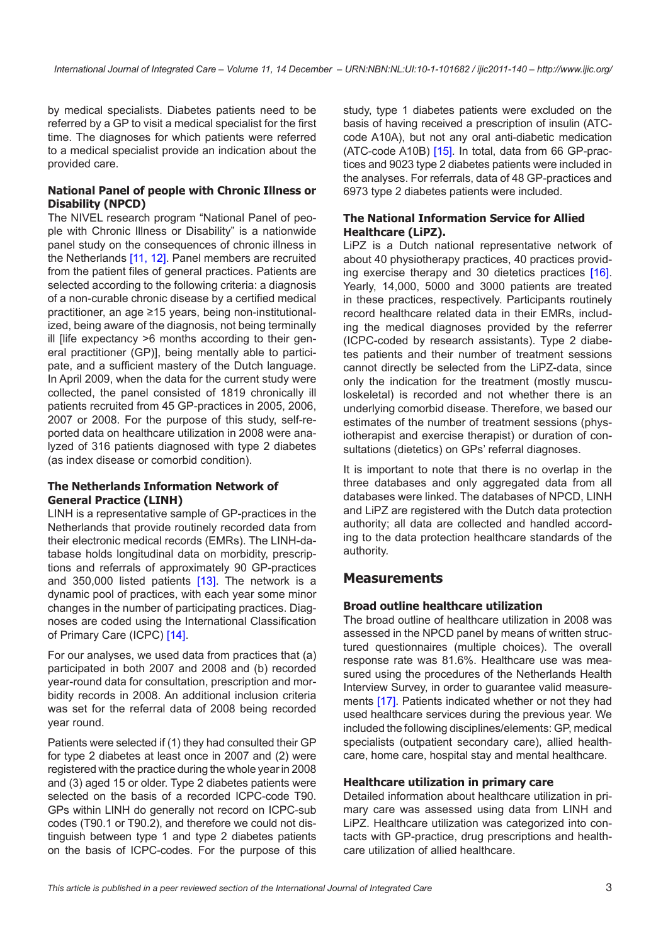by medical specialists. Diabetes patients need to be referred by a GP to visit a medical specialist for the first time. The diagnoses for which patients were referred to a medical specialist provide an indication about the provided care.

#### **National Panel of people with Chronic Illness or Disability (NPCD)**

The NIVEL research program "National Panel of people with Chronic Illness or Disability" is a nationwide panel study on the consequences of chronic illness in the Netherlands [\[11, 12](#page-9-0)]. Panel members are recruited from the patient files of general practices. Patients are selected according to the following criteria: a diagnosis of a non-curable chronic disease by a certified medical practitioner, an age ≥15 years, being non-institutionalized, being aware of the diagnosis, not being terminally ill [life expectancy >6 months according to their general practitioner (GP)], being mentally able to participate, and a sufficient mastery of the Dutch language. In April 2009, when the data for the current study were collected, the panel consisted of 1819 chronically ill patients recruited from 45 GP-practices in 2005, 2006, 2007 or 2008. For the purpose of this study, self-reported data on healthcare utilization in 2008 were analyzed of 316 patients diagnosed with type 2 diabetes (as index disease or comorbid condition).

#### **The Netherlands Information Network of General Practice (LINH)**

LINH is a representative sample of GP-practices in the Netherlands that provide routinely recorded data from their electronic medical records (EMRs). The LINH-database holds longitudinal data on morbidity, prescriptions and referrals of approximately 90 GP-practices and 350,000 listed patients [[13\]](#page-9-0). The network is a dynamic pool of practices, with each year some minor changes in the number of participating practices. Diagnoses are coded using the International Classification of Primary Care (ICPC) [\[14\]](#page-9-0).

For our analyses, we used data from practices that (a) participated in both 2007 and 2008 and (b) recorded year-round data for consultation, prescription and morbidity records in 2008. An additional inclusion criteria was set for the referral data of 2008 being recorded year round.

Patients were selected if (1) they had consulted their GP for type 2 diabetes at least once in 2007 and (2) were registered with the practice during the whole year in 2008 and (3) aged 15 or older. Type 2 diabetes patients were selected on the basis of a recorded ICPC-code T90. GPs within LINH do generally not record on ICPC-sub codes (T90.1 or T90.2), and therefore we could not distinguish between type 1 and type 2 diabetes patients on the basis of ICPC-codes. For the purpose of this

study, type 1 diabetes patients were excluded on the basis of having received a prescription of insulin (ATCcode A10A), but not any oral anti-diabetic medication (ATC-code A10B) [\[15](#page-9-0)]. In total, data from 66 GP-practices and 9023 type 2 diabetes patients were included in the analyses. For referrals, data of 48 GP-practices and 6973 type 2 diabetes patients were included.

#### **The National Information Service for Allied Healthcare (LiPZ).**

LiPZ is a Dutch national representative network of about 40 physiotherapy practices, 40 practices providing exercise therapy and 30 dietetics practices [[16](#page-9-0)]. Yearly, 14,000, 5000 and 3000 patients are treated in these practices, respectively. Participants routinely record healthcare related data in their EMRs, including the medical diagnoses provided by the referrer (ICPC-coded by research assistants). Type 2 diabetes patients and their number of treatment sessions cannot directly be selected from the LiPZ-data, since only the indication for the treatment (mostly musculoskeletal) is recorded and not whether there is an underlying comorbid disease. Therefore, we based our estimates of the number of treatment sessions (physiotherapist and exercise therapist) or duration of consultations (dietetics) on GPs' referral diagnoses.

It is important to note that there is no overlap in the three databases and only aggregated data from all databases were linked. The databases of NPCD, LINH and LiPZ are registered with the Dutch data protection authority; all data are collected and handled according to the data protection healthcare standards of the authority.

### **Measurements**

#### **Broad outline healthcare utilization**

The broad outline of healthcare utilization in 2008 was assessed in the NPCD panel by means of written structured questionnaires (multiple choices). The overall response rate was 81.6%. Healthcare use was measured using the procedures of the Netherlands Health Interview Survey, in order to guarantee valid measurements [\[17\]](#page-9-0). Patients indicated whether or not they had used healthcare services during the previous year. We included the following disciplines/elements: GP, medical specialists (outpatient secondary care), allied healthcare, home care, hospital stay and mental healthcare.

#### **Healthcare utilization in primary care**

Detailed information about healthcare utilization in primary care was assessed using data from LINH and LiPZ. Healthcare utilization was categorized into contacts with GP-practice, drug prescriptions and healthcare utilization of allied healthcare.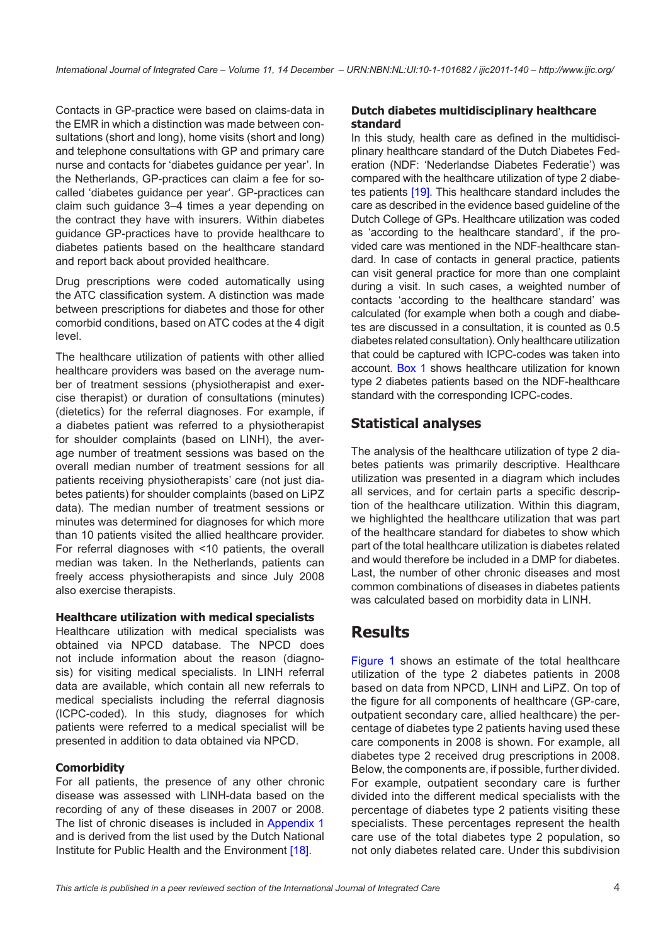Contacts in GP-practice were based on claims-data in the EMR in which a distinction was made between consultations (short and long), home visits (short and long) and telephone consultations with GP and primary care nurse and contacts for 'diabetes guidance per year'. In the Netherlands, GP-practices can claim a fee for socalled 'diabetes guidance per year'. GP-practices can claim such guidance 3–4 times a year depending on the contract they have with insurers. Within diabetes guidance GP-practices have to provide healthcare to diabetes patients based on the healthcare standard and report back about provided healthcare.

Drug prescriptions were coded automatically using the ATC classification system. A distinction was made between prescriptions for diabetes and those for other comorbid conditions, based on ATC codes at the 4 digit level.

The healthcare utilization of patients with other allied healthcare providers was based on the average number of treatment sessions (physiotherapist and exercise therapist) or duration of consultations (minutes) (dietetics) for the referral diagnoses. For example, if a diabetes patient was referred to a physiotherapist for shoulder complaints (based on LINH), the average number of treatment sessions was based on the overall median number of treatment sessions for all patients receiving physiotherapists' care (not just diabetes patients) for shoulder complaints (based on LiPZ data). The median number of treatment sessions or minutes was determined for diagnoses for which more than 10 patients visited the allied healthcare provider. For referral diagnoses with <10 patients, the overall median was taken. In the Netherlands, patients can freely access physiotherapists and since July 2008 also exercise therapists.

#### **Healthcare utilization with medical specialists**

Healthcare utilization with medical specialists was obtained via NPCD database. The NPCD does not include information about the reason (diagnosis) for visiting medical specialists. In LINH referral data are available, which contain all new referrals to medical specialists including the referral diagnosis (ICPC-coded). In this study, diagnoses for which patients were referred to a medical specialist will be presented in addition to data obtained via NPCD.

#### **Comorbidity**

For all patients, the presence of any other chronic disease was assessed with LINH-data based on the recording of any of these diseases in 2007 or 2008. The list of chronic diseases is included in Appendix [1](#page-8-1) and is derived from the list used by the Dutch National Institute for Public Health and the Environment [\[18](#page-9-0)].

#### **Dutch diabetes multidisciplinary healthcare standard**

In this study, health care as defined in the multidisciplinary healthcare standard of the Dutch Diabetes Federation (NDF: 'Nederlandse Diabetes Federatie') was compared with the healthcare utilization of type 2 diabetes patients [\[19](#page-9-0)]. This healthcare standard includes the care as described in the evidence based guideline of the Dutch College of GPs. Healthcare utilization was coded as 'according to the healthcare standard', if the provided care was mentioned in the NDF-healthcare standard. In case of contacts in general practice, patients can visit general practice for more than one complaint during a visit. In such cases, a weighted number of contacts 'according to the healthcare standard' was calculated (for example when both a cough and diabetes are discussed in a consultation, it is counted as 0.5 diabetes related consultation). Only healthcare utilization that could be captured with ICPC-codes was taken into account. [Box 1](#page-4-0) shows healthcare utilization for known type 2 diabetes patients based on the NDF-healthcare standard with the corresponding ICPC-codes.

### **Statistical analyses**

The analysis of the healthcare utilization of type 2 diabetes patients was primarily descriptive. Healthcare utilization was presented in a diagram which includes all services, and for certain parts a specific description of the healthcare utilization. Within this diagram, we highlighted the healthcare utilization that was part of the healthcare standard for diabetes to show which part of the total healthcare utilization is diabetes related and would therefore be included in a DMP for diabetes. Last, the number of other chronic diseases and most common combinations of diseases in diabetes patients was calculated based on morbidity data in LINH.

## **Results**

[Figure 1](#page-5-0) shows an estimate of the total healthcare utilization of the type 2 diabetes patients in 2008 based on data from NPCD, LINH and LiPZ. On top of the figure for all components of healthcare (GP-care, outpatient secondary care, allied healthcare) the percentage of diabetes type 2 patients having used these care components in 2008 is shown. For example, all diabetes type 2 received drug prescriptions in 2008. Below, the components are, if possible, further divided. For example, outpatient secondary care is further divided into the different medical specialists with the percentage of diabetes type 2 patients visiting these specialists. These percentages represent the health care use of the total diabetes type 2 population, so not only diabetes related care. Under this subdivision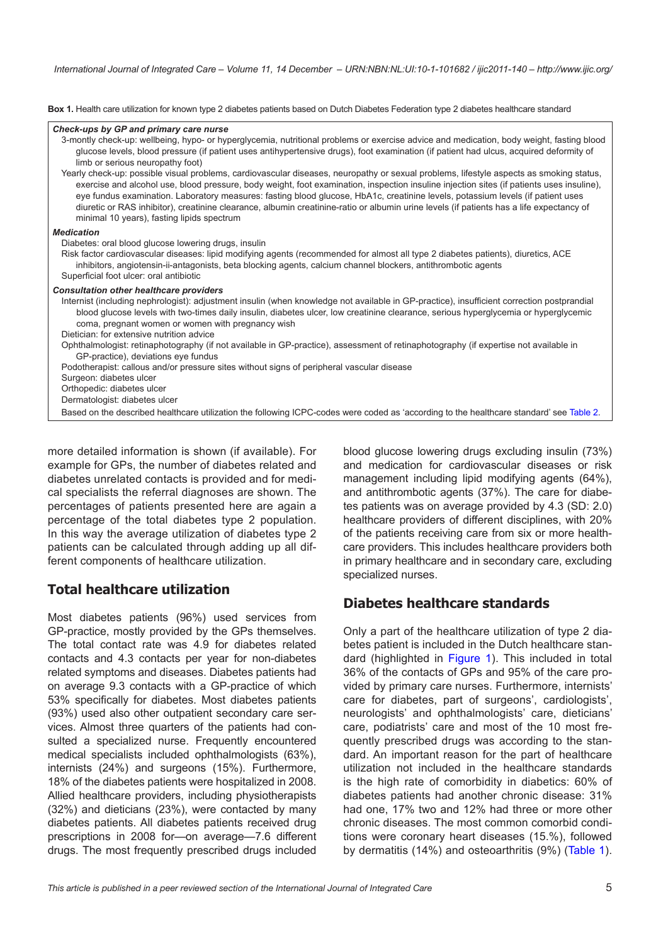<span id="page-4-0"></span>**Box 1.** Health care utilization for known type 2 diabetes patients based on Dutch Diabetes Federation type 2 diabetes healthcare standard

#### *Check-ups by GP and primary care nurse*

| 3-montly check-up: wellbeing, hypo- or hyperglycemia, nutritional problems or exercise advice and medication, body weight, fasting blood<br>glucose levels, blood pressure (if patient uses antihypertensive drugs), foot examination (if patient had ulcus, acquired deformity of<br>limb or serious neuropathy foot)<br>Yearly check-up: possible visual problems, cardiovascular diseases, neuropathy or sexual problems, lifestyle aspects as smoking status,<br>exercise and alcohol use, blood pressure, body weight, foot examination, inspection insuline injection sites (if patients uses insuline),<br>eye fundus examination. Laboratory measures: fasting blood glucose, HbA1c, creatinine levels, potassium levels (if patient uses<br>diuretic or RAS inhibitor), creatinine clearance, albumin creatinine-ratio or albumin urine levels (if patients has a life expectancy of<br>minimal 10 years), fasting lipids spectrum |  |  |  |  |
|---------------------------------------------------------------------------------------------------------------------------------------------------------------------------------------------------------------------------------------------------------------------------------------------------------------------------------------------------------------------------------------------------------------------------------------------------------------------------------------------------------------------------------------------------------------------------------------------------------------------------------------------------------------------------------------------------------------------------------------------------------------------------------------------------------------------------------------------------------------------------------------------------------------------------------------------|--|--|--|--|
| <b>Medication</b>                                                                                                                                                                                                                                                                                                                                                                                                                                                                                                                                                                                                                                                                                                                                                                                                                                                                                                                           |  |  |  |  |
| Diabetes: oral blood glucose lowering drugs, insulin<br>Risk factor cardiovascular diseases: lipid modifying agents (recommended for almost all type 2 diabetes patients), diuretics, ACE<br>inhibitors, angiotensin-ii-antagonists, beta blocking agents, calcium channel blockers, antithrombotic agents<br>Superficial foot ulcer: oral antibiotic                                                                                                                                                                                                                                                                                                                                                                                                                                                                                                                                                                                       |  |  |  |  |
| <b>Consultation other healthcare providers</b><br>Internist (including nephrologist): adjustment insulin (when knowledge not available in GP-practice), insufficient correction postprandial<br>blood glucose levels with two-times daily insulin, diabetes ulcer, low creatinine clearance, serious hyperglycemia or hyperglycemic<br>coma, pregnant women or women with pregnancy wish<br>Dietician: for extensive nutrition advice                                                                                                                                                                                                                                                                                                                                                                                                                                                                                                       |  |  |  |  |
| Ophthalmologist: retinaphotography (if not available in GP-practice), assessment of retinaphotography (if expertise not available in<br>GP-practice), deviations eye fundus                                                                                                                                                                                                                                                                                                                                                                                                                                                                                                                                                                                                                                                                                                                                                                 |  |  |  |  |
| Podotherapist: callous and/or pressure sites without signs of peripheral vascular disease                                                                                                                                                                                                                                                                                                                                                                                                                                                                                                                                                                                                                                                                                                                                                                                                                                                   |  |  |  |  |
| Surgeon: diabetes ulcer                                                                                                                                                                                                                                                                                                                                                                                                                                                                                                                                                                                                                                                                                                                                                                                                                                                                                                                     |  |  |  |  |
| Orthopedic: diabetes ulcer                                                                                                                                                                                                                                                                                                                                                                                                                                                                                                                                                                                                                                                                                                                                                                                                                                                                                                                  |  |  |  |  |
| Dermatologist: diabetes ulcer                                                                                                                                                                                                                                                                                                                                                                                                                                                                                                                                                                                                                                                                                                                                                                                                                                                                                                               |  |  |  |  |
| Based on the described healthcare utilization the following ICPC-codes were coded as 'according to the healthcare standard' see Table 2.                                                                                                                                                                                                                                                                                                                                                                                                                                                                                                                                                                                                                                                                                                                                                                                                    |  |  |  |  |
|                                                                                                                                                                                                                                                                                                                                                                                                                                                                                                                                                                                                                                                                                                                                                                                                                                                                                                                                             |  |  |  |  |

more detailed information is shown (if available). For example for GPs, the number of diabetes related and diabetes unrelated contacts is provided and for medical specialists the referral diagnoses are shown. The percentages of patients presented here are again a percentage of the total diabetes type 2 population. In this way the average utilization of diabetes type 2 patients can be calculated through adding up all different components of healthcare utilization.

### **Total healthcare utilization**

Most diabetes patients (96%) used services from GP-practice, mostly provided by the GPs themselves. The total contact rate was 4.9 for diabetes related contacts and 4.3 contacts per year for non-diabetes related symptoms and diseases. Diabetes patients had on average 9.3 contacts with a GP-practice of which 53% specifically for diabetes. Most diabetes patients (93%) used also other outpatient secondary care services. Almost three quarters of the patients had consulted a specialized nurse. Frequently encountered medical specialists included ophthalmologists (63%), internists (24%) and surgeons (15%). Furthermore, 18% of the diabetes patients were hospitalized in 2008. Allied healthcare providers, including physiotherapists (32%) and dieticians (23%), were contacted by many diabetes patients. All diabetes patients received drug prescriptions in 2008 for—on average—7.6 different drugs. The most frequently prescribed drugs included blood glucose lowering drugs excluding insulin (73%) and medication for cardiovascular diseases or risk management including lipid modifying agents (64%), and antithrombotic agents (37%). The care for diabetes patients was on average provided by 4.3 (SD: 2.0) healthcare providers of different disciplines, with 20% of the patients receiving care from six or more healthcare providers. This includes healthcare providers both in primary healthcare and in secondary care, excluding specialized nurses.

### **Diabetes healthcare standards**

Only a part of the healthcare utilization of type 2 diabetes patient is included in the Dutch healthcare standard (highlighted in [Figure 1](#page-5-0)). This included in total 36% of the contacts of GPs and 95% of the care provided by primary care nurses. Furthermore, internists' care for diabetes, part of surgeons', cardiologists', neurologists' and ophthalmologists' care, dieticians' care, podiatrists' care and most of the 10 most frequently prescribed drugs was according to the standard. An important reason for the part of healthcare utilization not included in the healthcare standards is the high rate of comorbidity in diabetics: 60% of diabetes patients had another chronic disease: 31% had one, 17% two and 12% had three or more other chronic diseases. The most common comorbid conditions were coronary heart diseases (15.%), followed by dermatitis (14%) and osteoarthritis (9%) [\(Table 1\)](#page-6-0).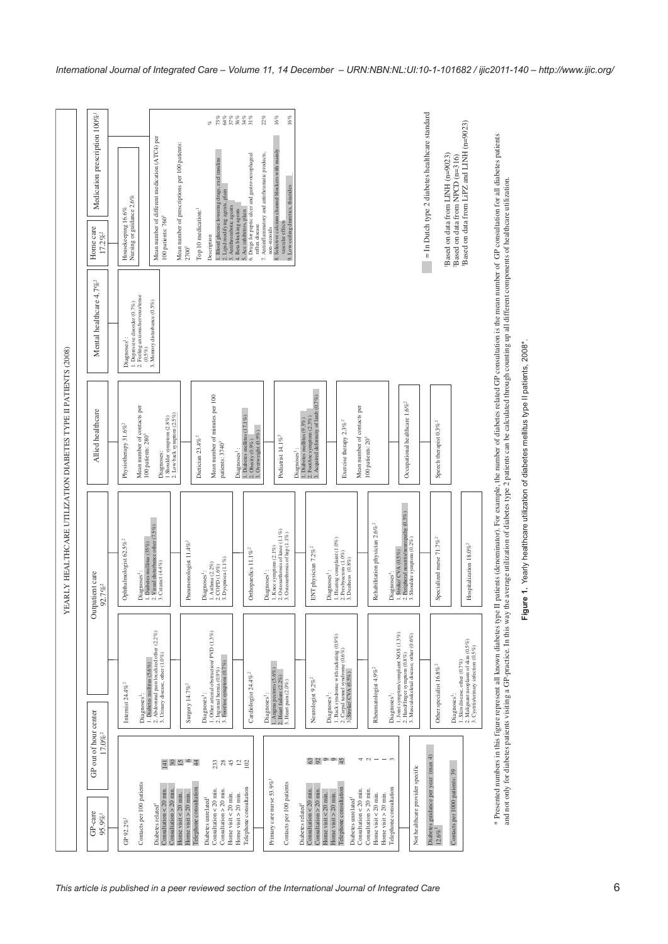<span id="page-5-0"></span>

|                                                             | Medication prescription 100% <sup>1</sup><br>Home care<br>$17.2\%$ <sup>2</sup><br>Mental healthcare 4.7% <sup>2</sup> | = In Dutch type 2 diabetes healthcare standard<br>16%<br><b>BEREER</b><br><b>BEREER</b><br>22%<br>$16\%$<br>eg.<br>Based on data from LiPZ and LINH (n=9023)<br>Mean number of different medication (ATC4) per<br>Mean number of prescriptions per 100 patients:<br>Selective calcium channel blockers with mainly<br>7. Antiinflammatory and antirheumatic products,<br>Drugs for peptic ulcer and gastro-oesophageal<br>Based on data from LINH (n=9023)<br>Based on data from NPCD (n=316)<br>1. Blood glucose lowering drugs, excl insulins<br>9. Low-ceiling diuretics, thiazides<br>2. Lipid modifying agents, plain<br>3. Antithrombotic agents<br>5. Ace a blocking agents<br>5. Drugs for peptic ulcer and gastro<br>6. Drugs for peptic ulcer and gastro<br>Nursing or guidance 2.6%<br>Housekeeping 16.6%<br>Top 10 medication:<br>100 patients: 760 <sup>1</sup><br>vascular effects<br>reflux disease<br>non-steroids<br>Description<br>2700<br>$\infty$<br>2. Feeling anxious/nervous/tense<br>Memory disturbance (0.5%)<br>1. Depressive disorder (0.7%)<br>Diagnoses <sup>1</sup><br>$(0.5\%)$ | patients (denominator). For example, the number of diabetes related GP consultation is the mean number of GP consultation for all diabetes patients |
|-------------------------------------------------------------|------------------------------------------------------------------------------------------------------------------------|----------------------------------------------------------------------------------------------------------------------------------------------------------------------------------------------------------------------------------------------------------------------------------------------------------------------------------------------------------------------------------------------------------------------------------------------------------------------------------------------------------------------------------------------------------------------------------------------------------------------------------------------------------------------------------------------------------------------------------------------------------------------------------------------------------------------------------------------------------------------------------------------------------------------------------------------------------------------------------------------------------------------------------------------------------------------------------------------------------------|-----------------------------------------------------------------------------------------------------------------------------------------------------|
| RLY HEALTHCARE UTILIZATION DIABETES TYPE II PATIENTS (2008) | Allied healthcare                                                                                                      | $\epsilon \vec{\alpha}$<br>1. Diabetes mellitus $(9.3\%)$<br>2. Foothoe symptom $(2.3\%)$<br>3. Acquired deformity of limb $(0.7\%)$<br>Mean number of minutes per 100<br>Occupational healthcare $1.6\%$ <sup>2</sup><br>Mean number of contacts per<br>Mean number of contacts per<br>1. Diabetes mellitus (17.1%)<br>1 Shoulder symptom $(2.8\%)$ 2. Low back symptom $(2.5\%)$<br>Exercise therapy 2.3% <sup>2</sup><br>Speech therapist 0.3% <sup>2</sup><br>Physiotherapy 31.6% <sup>2</sup><br>$\begin{array}{l} \text{2. Obesity (0.9\%)}\\ \text{3. Overweight (0.9\%)} \end{array}$<br>100 patients: 280 <sup>3</sup><br>Podiatrist $14.1\%$<br>Dietician $23.4\%$ <sup>2</sup><br>100 patients: 20 <sup>3</sup><br>patients: 3740 <sup>3</sup><br>Diagnoses <sup>1</sup> :<br>Diagnoses <sup>1</sup> :<br>Diagnoses:                                                                                                                                                                                                                                                                                | average utilization of diabetes type 2 patients can be calculated through counting up all different components of healthcare utilization.           |
| YEA                                                         | tient care<br>$2.7\%$ <sup>2</sup><br>Outpat<br>$\sigma$                                                               | 2. Peripheral neuritis/neuropathy (0.3%)<br>1. Diabetes mellitus (35%)<br>2. Visual disturbance other (7.5%)<br>3. Cataract (4.4%)<br>Rehabilitation physician 2.6% <sup>2</sup><br>2. Osteoarthrosis of knee (1.1%)<br>3. Osteoarthrosis of hip (1.1%)<br>Specialized nurse 71.7% <sup>2</sup><br>1. Hearing complaint $(1.0\%)$<br>2. Presbyacusis $(1.0\%)$<br>3. Deafness $(0.8\%)$<br>3. Shoulder symptom (0.2%)<br>Ophthalmologist 62.5% <sup>2</sup><br>Pneumonologist 11.4% <sup>2</sup><br>Hospitalization $18.0\%$<br>1. Knee symptom (2.1%)<br>ENT physician 7.2% <sup>2</sup><br>Orthopaedics 11.1% <sup>2</sup><br>1. Stroke/ CVA (0.5%)<br>3. Dyspnoea (1.1%)<br>1. Asthma $(2.2\%)$<br>$2.$ COPD $(1.6\%)$<br>Diagnoses <sup>1</sup> :<br>Diagnoses <sup>1</sup> :<br>Diagnoses <sup>1</sup> :<br>Diagnoses <sup>1</sup> :<br>Diagnoses                                                                                                                                                                                                                                                         |                                                                                                                                                     |
|                                                             |                                                                                                                        | 2. Abdominal pain localized other (2.2%)<br>1. Other arterial obstruction/ PVD (1.3%)<br>1. Joint symptom/complaint NOS (1.3%)<br>2. Hand/finger symptom $(0.8\%)$ 3. Musculoskeletal disease, other $(0.6\%)$<br>1. Back syndrome with radiating $(0.9\%)$<br>2. Carpal tunnel syndrome $(0.6\%)$<br>3. Stroke/ CVA $(0.5\%)$<br>1. Skin disease, other $(0.7\%)$<br>2. Malignant neoplasm of skin $(0.5\%)$<br>3. Cystitis/urinary infection $(0.5\%)$<br>3. Urinary disease, other (1.0%)<br>2. Inguinal hernia $(0.9\%)$<br>3. Foothoe symptom $(0.7\%)$<br>1. Diabetes mellitus (5.6%)<br>Other specialist 16.8% <sup>2</sup><br>1. Angina pectoris (5.6%)<br>Rheumatologist $4.9\%$ <sup>2</sup><br>Cardiologist 24.4% <sup>2</sup><br>2. Heart failure $(2.2\%)$<br>3. Heart pain $(2.0\%)$<br>Neurologist 9.2% <sup>2</sup><br>Internist $24.4\%$ <sup>2</sup><br>Surgery 14.7% <sup>2</sup><br>Diagnoses <sup>1</sup> :<br>Diagnoses <sup>1</sup> :<br>Diagnoses <sup>1</sup> :<br>Diagnoses <sup>1</sup> :<br>Diagnoses <sup>1</sup> :<br>Diagnoses':                                                | * Presented numbers in this figure represent all known diabetes type II                                                                             |
|                                                             | GP out of hour center<br>$17.0\%$ <sup>2</sup><br>GP-care<br>95.9%                                                     | Diabetes guidance per year (max 4)<br>6300945<br>4<br>$\sim$<br>$ \omega$<br>$\frac{1}{4}$ $\frac{1}{8}$ $\frac{1}{8}$ $\frac{1}{8}$ $\frac{1}{8}$<br>28<br>45<br>$^{12}$ $\rm \underline{\odot}$<br>233<br>Not healthcare provider specific<br>Contacts per 1000 patients: 39<br>Primary care nurse 53.9%<br>Contacts per 100 patients<br>Contacts per 100 patients<br>Telephone consultation<br>Telephone consultation<br>Telephone consultation<br>Telephone consultation<br>Consultation $>$ 20 min.<br>Consultation $<$ 20 min.<br>Consultation $<$ 20 min.<br>Consultation $<$ 20 min.<br>Consultation $>$ 20 min.<br>Consultation $<$ 20 min.<br>Consultation $>$ 20 min.<br>Consultation $> 20$ min<br>Home visit $<$ 20 min.<br>Home visit $<$ 20 min.<br>Home visit $<$ 20 min.<br>Home visit $>$ 20 min.<br>Home visit < 20 min.<br>Home visit $>$ 20 min.<br>Home visit $>$ 20 min.<br>Home visit $>$ 20 min.<br>Diabetes unrelated <sup>1</sup><br>Diabetes unrelated <sup>1</sup><br>Diabetes related <sup>1</sup><br>Diabetes related<br>GP 92.2%<br>$12.6\%$                                   | and not only for diabetes patients visiting a GP-practice. In this way the                                                                          |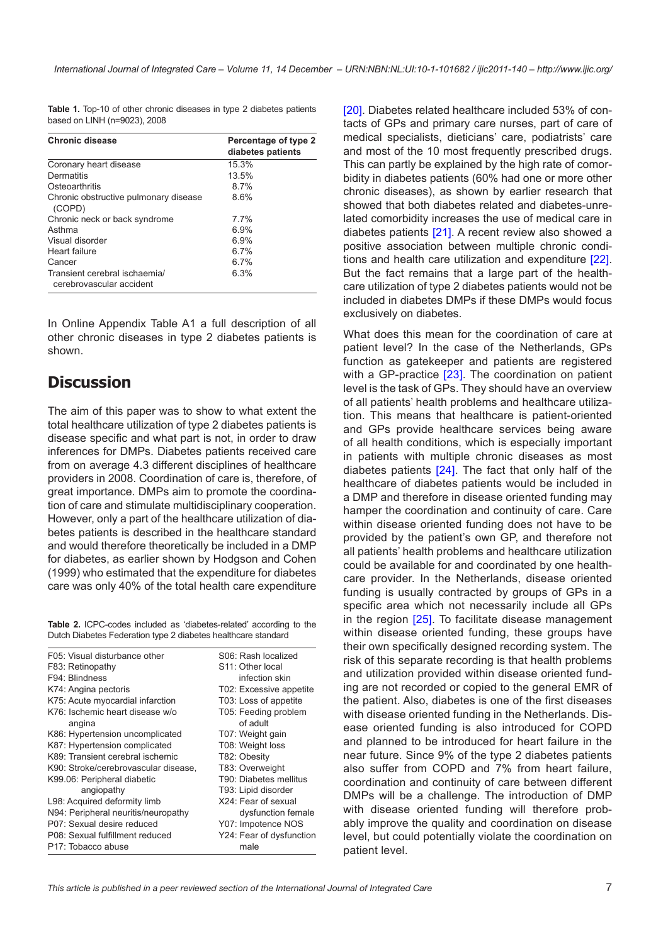<span id="page-6-0"></span>**Table 1.** Top-10 of other chronic diseases in type 2 diabetes patients based on LINH (n=9023), 2008

| <b>Chronic disease</b>                                    | Percentage of type 2<br>diabetes patients |
|-----------------------------------------------------------|-------------------------------------------|
| Coronary heart disease                                    | 15.3%                                     |
| Dermatitis                                                | 13.5%                                     |
| Osteoarthritis                                            | 8.7%                                      |
| Chronic obstructive pulmonary disease<br>(COPD)           | 8.6%                                      |
| Chronic neck or back syndrome                             | 7.7%                                      |
| Asthma                                                    | 6.9%                                      |
| Visual disorder                                           | 6.9%                                      |
| Heart failure                                             | 6.7%                                      |
| Cancer                                                    | 6.7%                                      |
| Transient cerebral ischaemia/<br>cerebrovascular accident | 6.3%                                      |

In Online Appendix Table A1 a full description of all other chronic diseases in type 2 diabetes patients is shown.

## **Discussion**

The aim of this paper was to show to what extent the total healthcare utilization of type 2 diabetes patients is disease specific and what part is not, in order to draw inferences for DMPs. Diabetes patients received care from on average 4.3 different disciplines of healthcare providers in 2008. Coordination of care is, therefore, of great importance. DMPs aim to promote the coordination of care and stimulate multidisciplinary cooperation. However, only a part of the healthcare utilization of diabetes patients is described in the healthcare standard and would therefore theoretically be included in a DMP for diabetes, as earlier shown by Hodgson and Cohen (1999) who estimated that the expenditure for diabetes care was only 40% of the total health care expenditure

**Table 2.** ICPC-codes included as 'diabetes-related' according to the Dutch Diabetes Federation type 2 diabetes healthcare standard

| F05: Visual disturbance other        | S06: Rash localized           |
|--------------------------------------|-------------------------------|
| F83: Retinopathy                     | S <sub>11</sub> : Other local |
| F94: Blindness                       | infection skin                |
| K74: Angina pectoris                 | T02: Excessive appetite       |
| K75: Acute myocardial infarction     | T03: Loss of appetite         |
| K76: Ischemic heart disease w/o      | T05: Feeding problem          |
| angina                               | of adult                      |
| K86: Hypertension uncomplicated      | T07: Weight gain              |
| K87: Hypertension complicated        | T08: Weight loss              |
| K89: Transient cerebral ischemic     | T82: Obesity                  |
| K90: Stroke/cerebrovascular disease, | T83: Overweight               |
| K99.06: Peripheral diabetic          | T90: Diabetes mellitus        |
| angiopathy                           | T93: Lipid disorder           |
| L98: Acquired deformity limb         | X24: Fear of sexual           |
| N94: Peripheral neuritis/neuropathy  | dysfunction female            |
| P07: Sexual desire reduced           | Y07: Impotence NOS            |
| P08: Sexual fulfillment reduced      | Y24: Fear of dysfunction      |
| P17: Tobacco abuse                   | male                          |
|                                      |                               |

[[20](#page-9-0)]. Diabetes related healthcare included 53% of contacts of GPs and primary care nurses, part of care of medical specialists, dieticians' care, podiatrists' care and most of the 10 most frequently prescribed drugs. This can partly be explained by the high rate of comorbidity in diabetes patients (60% had one or more other chronic diseases), as shown by earlier research that showed that both diabetes related and diabetes-unrelated comorbidity increases the use of medical care in diabetes patients [\[21\]](#page-9-0). A recent review also showed a positive association between multiple chronic conditions and health care utilization and expenditure [[22](#page-9-0)]. But the fact remains that a large part of the healthcare utilization of type 2 diabetes patients would not be included in diabetes DMPs if these DMPs would focus exclusively on diabetes.

What does this mean for the coordination of care at patient level? In the case of the Netherlands, GPs function as gatekeeper and patients are registered with a GP-practice [\[23\]](#page-9-0). The coordination on patient level is the task of GPs. They should have an overview of all patients' health problems and healthcare utilization. This means that healthcare is patient-oriented and GPs provide healthcare services being aware of all health conditions, which is especially important in patients with multiple chronic diseases as most diabetes patients [[24\]](#page-9-0). The fact that only half of the healthcare of diabetes patients would be included in a DMP and therefore in disease oriented funding may hamper the coordination and continuity of care. Care within disease oriented funding does not have to be provided by the patient's own GP, and therefore not all patients' health problems and healthcare utilization could be available for and coordinated by one healthcare provider. In the Netherlands, disease oriented funding is usually contracted by groups of GPs in a specific area which not necessarily include all GPs in the region [[25](#page-9-0)]. To facilitate disease management within disease oriented funding, these groups have their own specifically designed recording system. The risk of this separate recording is that health problems and utilization provided within disease oriented funding are not recorded or copied to the general EMR of the patient. Also, diabetes is one of the first diseases with disease oriented funding in the Netherlands. Disease oriented funding is also introduced for COPD and planned to be introduced for heart failure in the near future. Since 9% of the type 2 diabetes patients also suffer from COPD and 7% from heart failure, coordination and continuity of care between different DMPs will be a challenge. The introduction of DMP with disease oriented funding will therefore probably improve the quality and coordination on disease level, but could potentially violate the coordination on patient level.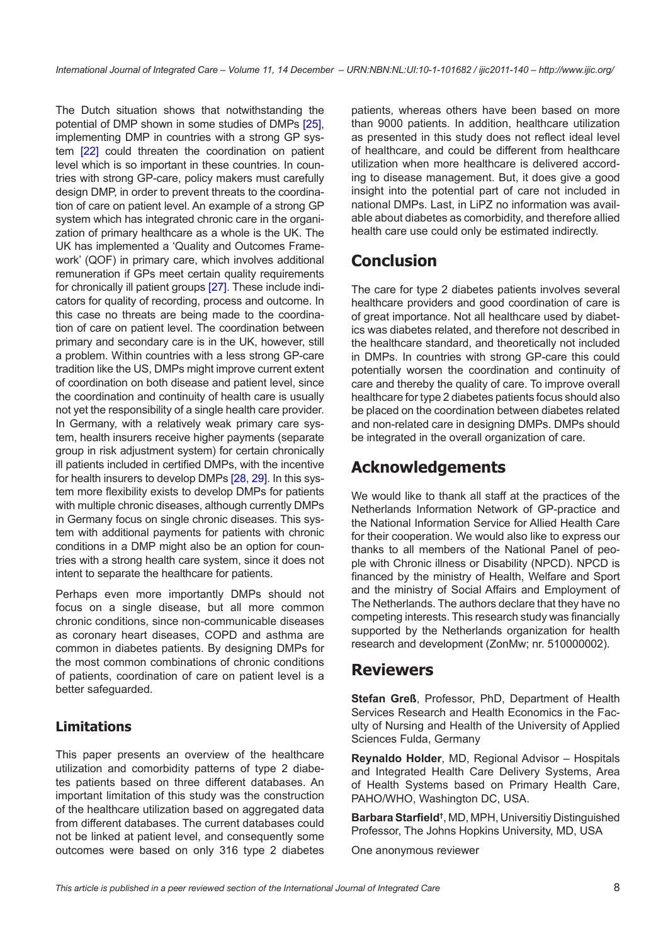The Dutch situation shows that notwithstanding the potential of DMP shown in some studies of DMPs [[25\]](#page-9-0), implementing DMP in countries with a strong GP system [\[22](#page-9-0)] could threaten the coordination on patient level which is so important in these countries. In countries with strong GP-care, policy makers must carefully design DMP, in order to prevent threats to the coordination of care on patient level. An example of a strong GP system which has integrated chronic care in the organization of primary healthcare as a whole is the UK. The UK has implemented a 'Quality and Outcomes Framework' (QOF) in primary care, which involves additional remuneration if GPs meet certain quality requirements for chronically ill patient groups [\[27](#page-9-0)]. These include indicators for quality of recording, process and outcome. In this case no threats are being made to the coordination of care on patient level. The coordination between primary and secondary care is in the UK, however, still a problem. Within countries with a less strong GP-care tradition like the US, DMPs might improve current extent of coordination on both disease and patient level, since the coordination and continuity of health care is usually not yet the responsibility of a single health care provider. In Germany, with a relatively weak primary care system, health insurers receive higher payments (separate group in risk adjustment system) for certain chronically ill patients included in certified DMPs, with the incentive for health insurers to develop DMPs [\[28](#page-9-0), [29](#page-9-0)]. In this system more flexibility exists to develop DMPs for patients with multiple chronic diseases, although currently DMPs in Germany focus on single chronic diseases. This system with additional payments for patients with chronic conditions in a DMP might also be an option for countries with a strong health care system, since it does not intent to separate the healthcare for patients.

Perhaps even more importantly DMPs should not focus on a single disease, but all more common chronic conditions, since non-communicable diseases as coronary heart diseases, COPD and asthma are common in diabetes patients. By designing DMPs for the most common combinations of chronic conditions of patients, coordination of care on patient level is a better safeguarded.

## **Limitations**

This paper presents an overview of the healthcare utilization and comorbidity patterns of type 2 diabetes patients based on three different databases. An important limitation of this study was the construction of the healthcare utilization based on aggregated data from different databases. The current databases could not be linked at patient level, and consequently some outcomes were based on only 316 type 2 diabetes patients, whereas others have been based on more than 9000 patients. In addition, healthcare utilization as presented in this study does not reflect ideal level of healthcare, and could be different from healthcare utilization when more healthcare is delivered according to disease management. But, it does give a good insight into the potential part of care not included in national DMPs. Last, in LiPZ no information was available about diabetes as comorbidity, and therefore allied health care use could only be estimated indirectly.

# **Conclusion**

The care for type 2 diabetes patients involves several healthcare providers and good coordination of care is of great importance. Not all healthcare used by diabetics was diabetes related, and therefore not described in the healthcare standard, and theoretically not included in DMPs. In countries with strong GP-care this could potentially worsen the coordination and continuity of care and thereby the quality of care. To improve overall healthcare for type 2 diabetes patients focus should also be placed on the coordination between diabetes related and non-related care in designing DMPs. DMPs should be integrated in the overall organization of care.

## **Acknowledgements**

We would like to thank all staff at the practices of the Netherlands Information Network of GP-practice and the National Information Service for Allied Health Care for their cooperation. We would also like to express our thanks to all members of the National Panel of people with Chronic illness or Disability (NPCD). NPCD is financed by the ministry of Health, Welfare and Sport and the ministry of Social Affairs and Employment of The Netherlands. The authors declare that they have no competing interests. This research study was financially supported by the Netherlands organization for health research and development (ZonMw; nr. 510000002).

## **Reviewers**

**Stefan Greß**, Professor, PhD, Department of Health Services Research and Health Economics in the Faculty of Nursing and Health of the University of Applied Sciences Fulda, Germany

**Reynaldo Holder**, MD, Regional Advisor – Hospitals and Integrated Health Care Delivery Systems, Area of Health Systems based on Primary Health Care, PAHO/WHO, Washington DC, USA.

**Barbara Starfield†** , MD, MPH, Universitiy Distinguished Professor, The Johns Hopkins University, MD, USA

One anonymous reviewer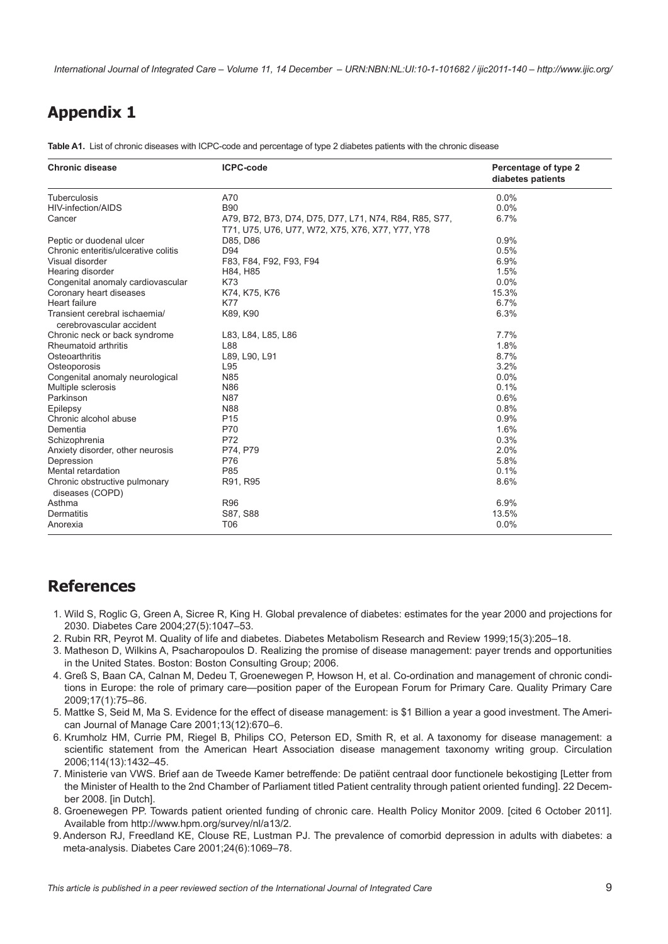<span id="page-8-0"></span>*International Journal of Integrated Care – Volume 11, 14 December – URN:NBN:NL:UI:10-1-101682 / ijic2011-140 – http://www.ijic.org/*

## <span id="page-8-1"></span>**Appendix 1**

**Table A1.** List of chronic diseases with ICPC-code and percentage of type 2 diabetes patients with the chronic disease

| <b>Chronic disease</b>                                    | <b>ICPC-code</b>                                       | Percentage of type 2<br>diabetes patients |
|-----------------------------------------------------------|--------------------------------------------------------|-------------------------------------------|
| <b>Tuberculosis</b>                                       | A70                                                    | 0.0%                                      |
| HIV-infection/AIDS                                        | <b>B90</b>                                             | 0.0%                                      |
| Cancer                                                    | A79, B72, B73, D74, D75, D77, L71, N74, R84, R85, S77, | 6.7%                                      |
|                                                           | T71, U75, U76, U77, W72, X75, X76, X77, Y77, Y78       |                                           |
| Peptic or duodenal ulcer                                  | D85, D86                                               | 0.9%                                      |
| Chronic enteritis/ulcerative colitis                      | D94                                                    | 0.5%                                      |
| Visual disorder                                           | F83, F84, F92, F93, F94                                | 6.9%                                      |
| Hearing disorder                                          | H84, H85                                               | 1.5%                                      |
| Congenital anomaly cardiovascular                         | K73                                                    | 0.0%                                      |
| Coronary heart diseases                                   | K74, K75, K76                                          | 15.3%                                     |
| <b>Heart failure</b>                                      | K77                                                    | 6.7%                                      |
| Transient cerebral ischaemia/<br>cerebrovascular accident | K89, K90                                               | 6.3%                                      |
| Chronic neck or back syndrome                             | L83, L84, L85, L86                                     | 7.7%                                      |
| Rheumatoid arthritis                                      | L88                                                    | 1.8%                                      |
| Osteoarthritis                                            | L89, L90, L91                                          | 8.7%                                      |
| Osteoporosis                                              | L95                                                    | 3.2%                                      |
| Congenital anomaly neurological                           | N85                                                    | 0.0%                                      |
| Multiple sclerosis                                        | <b>N86</b>                                             | 0.1%                                      |
| Parkinson                                                 | <b>N87</b>                                             | 0.6%                                      |
| Epilepsy                                                  | <b>N88</b>                                             | 0.8%                                      |
| Chronic alcohol abuse                                     | P <sub>15</sub>                                        | 0.9%                                      |
| Dementia                                                  | P70                                                    | 1.6%                                      |
| Schizophrenia                                             | P72                                                    | 0.3%                                      |
| Anxiety disorder, other neurosis                          | P74, P79                                               | 2.0%                                      |
| Depression                                                | P76                                                    | 5.8%                                      |
| Mental retardation                                        | P85                                                    | 0.1%                                      |
| Chronic obstructive pulmonary<br>diseases (COPD)          | R91, R95                                               | 8.6%                                      |
| Asthma                                                    | <b>R96</b>                                             | 6.9%                                      |
| <b>Dermatitis</b>                                         | S87, S88                                               | 13.5%                                     |
| Anorexia                                                  | T06                                                    | 0.0%                                      |

## **References**

- 1. Wild S, Roglic G, Green A, Sicree R, King H. Global prevalence of diabetes: estimates for the year 2000 and projections for 2030. Diabetes Care 2004;27(5):1047–53.
- 2. Rubin RR, Peyrot M. Quality of life and diabetes. Diabetes Metabolism Research and Review 1999;15(3):205–18.
- 3. Matheson D, Wilkins A, Psacharopoulos D. Realizing the promise of disease management: payer trends and opportunities in the United States. Boston: Boston Consulting Group; 2006.
- 4. Greß S, Baan CA, Calnan M, Dedeu T, Groenewegen P, Howson H, et al. Co-ordination and management of chronic conditions in Europe: the role of primary care—position paper of the European Forum for Primary Care. Quality Primary Care 2009;17(1):75–86.
- 5. Mattke S, Seid M, Ma S. Evidence for the effect of disease management: is \$1 Billion a year a good investment. The American Journal of Manage Care 2001;13(12):670–6.
- 6. Krumholz HM, Currie PM, Riegel B, Philips CO, Peterson ED, Smith R, et al. A taxonomy for disease management: a scientific statement from the American Heart Association disease management taxonomy writing group. Circulation 2006;114(13):1432–45.
- 7. Ministerie van VWS. Brief aan de Tweede Kamer betreffende: De patiënt centraal door functionele bekostiging [Letter from the Minister of Health to the 2nd Chamber of Parliament titled Patient centrality through patient oriented funding]. 22 December 2008. [in Dutch].
- 8. Groenewegen PP. Towards patient oriented funding of chronic care. Health Policy Monitor 2009. [cited 6 October 2011]. Available from <http://www.hpm.org/survey/nl/a13/2>.
- 9. Anderson RJ, Freedland KE, Clouse RE, Lustman PJ. The prevalence of comorbid depression in adults with diabetes: a meta-analysis. Diabetes Care 2001;24(6):1069–78.